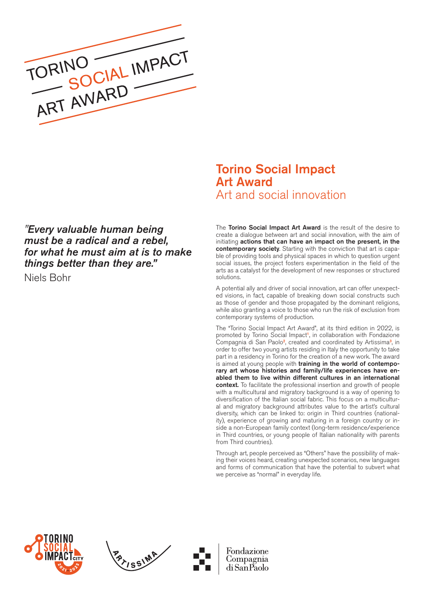

# *"Every valuable human being must be a radical and a rebel, for what he must aim at is to make things better than they are."*

Niels Bohr

# Torino Social Impact Art Award Art and social innovation

The Torino Social Impact Art Award is the result of the desire to create a dialogue between art and social innovation, with the aim of initiating actions that can have an impact on the present, in the contemporary society. Starting with the conviction that art is capable of providing tools and physical spaces in which to question urgent social issues, the project fosters experimentation in the field of the arts as a catalyst for the development of new responses or structured solutions.

A potential ally and driver of social innovation, art can offer unexpected visions, in fact, capable of breaking down social constructs such as those of gender and those propagated by the dominant religions, while also granting a voice to those who run the risk of exclusion from contemporary systems of production.

The "Torino Social Impact Art Award", at its third edition in 2022, is promoted by Torino Social Impact<sup>1</sup>, in collaboration with Fondazione Compagnia di San Paolo<sup>2</sup>, created and coordinated by Artissima<sup>3</sup>, in order to offer two young artists residing in Italy the opportunity to take part in a residency in Torino for the creation of a new work. The award is aimed at young people with training in the world of contemporary art whose histories and family/life experiences have enabled them to live within different cultures in an international context. To facilitate the professional insertion and growth of people with a multicultural and migratory background is a way of opening to diversification of the Italian social fabric. This focus on a multicultural and migratory background attributes value to the artist's cultural diversity, which can be linked to: origin in Third countries (nationality), experience of growing and maturing in a foreign country or inside a non-European family context (long-term residence/experience in Third countries, or young people of Italian nationality with parents from Third countries).

Through art, people perceived as "Others" have the possibility of making their voices heard, creating unexpected scenarios, new languages and forms of communication that have the potential to subvert what we perceive as "normal" in everyday life.





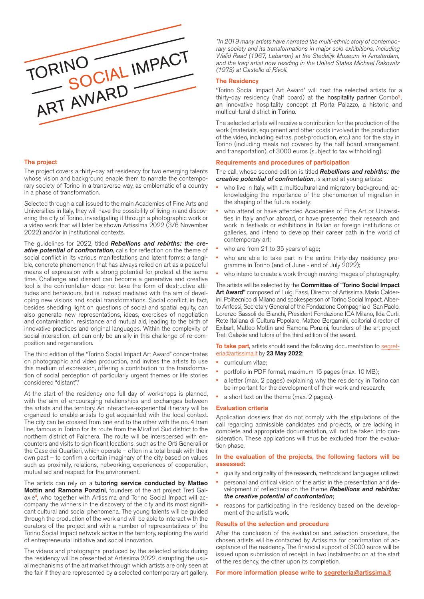

# The project

The project covers a thirty-day art residency for two emerging talents whose vision and background enable them to narrate the contemporary society of Torino in a transverse way, as emblematic of a country in a phase of transformation.

Selected through a call issued to the main Academies of Fine Arts and Universities in Italy, they will have the possibility of living in and discovering the city of Torino, investigating it through a photographic work or a video work that will later be shown Artissima 2022 (3/6 November 2022) and/or in institutional contexts.

The guidelines for 2022, titled *Rebellions and rebirths: the creative potential of confrontation*, calls for reflection on the theme of social conflict in its various manifestations and latent forms: a tangible, concrete phenomenon that has always relied on art as a peaceful means of expression with a strong potential for protest at the same time. Challenge and dissent can become a generative and creative tool is the confrontation does not take the form of destructive attitudes and behaviours, but is instead mediated with the aim of developing new visions and social transformations. Social conflict, in fact, besides shedding light on questions of social and spatial equity, can also generate new representations, ideas, exercises of negotiation and contamination, resistance and mutual aid, leading to the birth of innovative practices and original languages. Within the complexity of social interaction, art can only be an ally in this challenge of re-composition and regeneration.

The third edition of the "Torino Social Impact Art Award" concentrates on photographic and video production, and invites the artists to use this medium of expression, offering a contribution to the transformation of social perception of particularly urgent themes or life stories considered "distant".\*

At the start of the residency one full day of workshops is planned, with the aim of encouraging relationships and exchanges between the artists and the territory. An interactive-experiential itinerary will be organized to enable artists to get acquainted with the local context. The city can be crossed from one end to the other with the no. 4 tram line, famous in Torino for its route from the Mirafiori Sud district to the northern district of Falchera. The route will be interspersed with encounters and visits to significant locations, such as the Orti Generali or the Case dei Quartieri, which operate – often in a total break with their own past – to confirm a certain imaginary of the city based on values such as proximity, relations, networking, experiences of cooperation, mutual aid and respect for the environment.

The artists can rely on a tutoring service conducted by Matteo Mottin and Ramona Ponzini, founders of the art project Treti Galaxie<sup>4</sup>, who together with Artissima and Torino Social Impact will accompany the winners in the discovery of the city and its most significant cultural and social phenomena. The young talents will be guided through the production of the work and will be able to interact with the curators of the project and with a number of representatives of the Torino Social Impact network active in the territory, exploring the world of entrepreneurial initiative and social innovation.

The videos and photographs produced by the selected artists during the residency will be presented at Artissima 2022, disrupting the usual mechanisms of the art market through which artists are only seen at the fair if they are represented by a selected contemporary art gallery.

*\*In 2019 many artists have narrated the multi-ethnic story of contemporary society and its transformations in major solo exhibitions, including Walid Raad (1967, Lebanon) at the Stedelijk Museum in Amsterdam, and the Iraqi artist now residing in the United States Michael Rakowitz (1973) at Castello di Rivoli.*

# The Residency

"Torino Social Impact Art Award" will host the selected artists for a thirty-day residency (half board) at the hospitality partner Combo<sup>5</sup>, an innovative hospitality concept at Porta Palazzo, a historic and multicul-tural district in Torino.

The selected artists will receive a contribution for the production of the work (materials, equipment and other costs involved in the production of the video, including extras, post-production, etc.) and for the stay in Torino (including meals not covered by the half board arrangement, and transportation), of 3000 euros (subject to tax withholding).

#### Requirements and procedures of participation

The call, whose second edition is titled *Rebellions and rebirths: the creative potential of confrontation*, is aimed at young artists:

- who live in Italy, with a multicultural and migratory background, acknowledging the importance of the phenomenon of migration in the shaping of the future society;
- who attend or have attended Academies of Fine Art or Universities in Italy and\or abroad, or have presented their research and work in festivals or exhibitions in Italian or foreign institutions or galleries, and intend to develop their career path in the world of contemporary art;
- who are from 21 to 35 years of age;
- who are able to take part in the entire thirty-day residency programme in Torino (end of June - end of July 2022);
- who intend to create a work through moving images of photography.

The artists will be selected by the **Committee of "Torino Social Impact** Art Award" composed of Luigi Fassi, Director of Artissima, Mario Calderini, Politecnico di Milano and spokesperson of Torino Social Impact, Alberto Anfossi, Secretary General of the Fondazione Compagnia di San Paolo, Lorenzo Sassoli de Bianchi, President Fondazione ICA Milano, Ilda Curti, Rete Italiana di Cultura Popolare, Matteo Bergamini, editorial director of Exibart, Matteo Mottin and Ramona Ponzini, founders of the art project Treti Galaxie and tutors of the third edition of the award.

To take part, artists should send the following documentation to [segret](mailto:segreteria%40artissima.it?subject=)[eria@artissima.it](mailto:segreteria%40artissima.it?subject=) by 23 May 2022:

- curriculum vitae;
- portfolio in PDF format, maximum 15 pages (max. 10 MB);
- a letter (max. 2 pages) explaining why the residency in Torino can be important for the development of their work and research;
- a short text on the theme (max. 2 pages).

### Evaluation criteria

Application dossiers that do not comply with the stipulations of the call regarding admissible candidates and projects, or are lacking in complete and appropriate documentation, will not be taken into consideration. These applications will thus be excluded from the evaluation phase.

# In the evaluation of the projects, the following factors will be assessed:

- quality and originality of the research, methods and languages utilized;
- personal and critical vision of the artist in the presentation and development of reflections on the theme *Rebellions and rebirths: the creative potential of confrontation*;
- reasons for participating in the residency based on the development of the artist's work.

#### Results of the selection and procedure

After the conclusion of the evaluation and selection procedure, the chosen artists will be contacted by Artissima for confirmation of acceptance of the residency. The financial support of 3000 euros will be issued upon submission of receipt, in two instalments: on at the start of the residency, the other upon its completion.

## For more information please write to [segreteria@artissima.it](mailto:segreteria%40artissima.it?subject=)